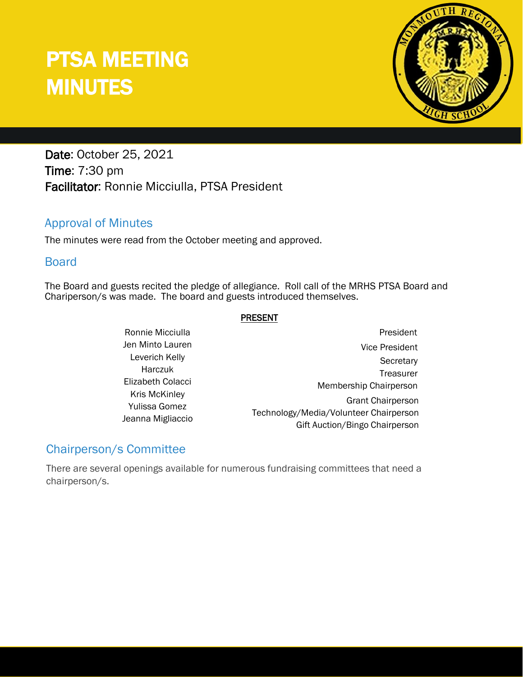# PTSA MEETING MINUTES



Date: October 25, 2021 Time: 7:30 pm Facilitator: Ronnie Micciulla, PTSA President

## Approval of Minutes

The minutes were read from the October meeting and approved.

## Board

The Board and guests recited the pledge of allegiance. Roll call of the MRHS PTSA Board and Chariperson/s was made. The board and guests introduced themselves.

#### PRESENT

President Vice President **Secretary Treasurer** Membership Chairperson Grant Chairperson Technology/Media/Volunteer Chairperson Gift Auction/Bingo Chairperson Ronnie Micciulla Jen Minto Lauren Leverich Kelly **Harczuk** Elizabeth Colacci Kris McKinley Yulissa Gomez Jeanna Migliaccio

# Chairperson/s Committee

There are several openings available for numerous fundraising committees that need a chairperson/s.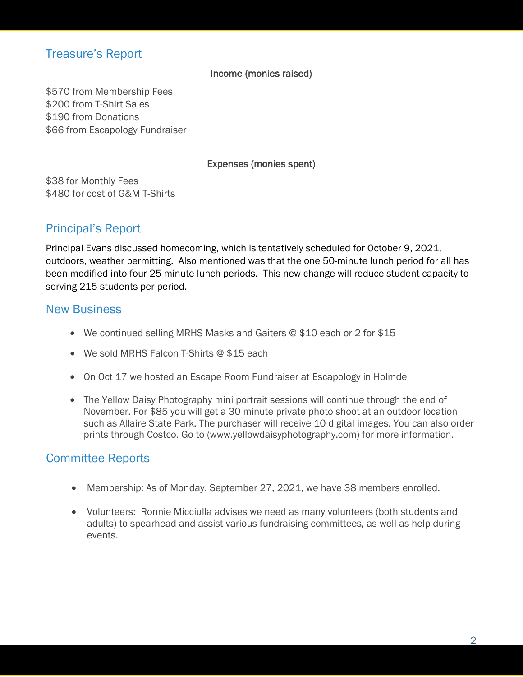## Treasure's Report

#### Income (monies raised)

\$570 from Membership Fees \$200 from T-Shirt Sales \$190 from Donations \$66 from Escapology Fundraiser

#### Expenses (monies spent)

\$38 for Monthly Fees \$480 for cost of G&M T-Shirts

# Principal's Report

Principal Evans discussed homecoming, which is tentatively scheduled for October 9, 2021, outdoors, weather permitting. Also mentioned was that the one 50-minute lunch period for all has been modified into four 25-minute lunch periods. This new change will reduce student capacity to serving 215 students per period.

## New Business

- We continued selling MRHS Masks and Gaiters @ \$10 each or 2 for \$15
- We sold MRHS Falcon T-Shirts @ \$15 each
- On Oct 17 we hosted an Escape Room Fundraiser at Escapology in Holmdel
- The Yellow Daisy Photography mini portrait sessions will continue through the end of November. For \$85 you will get a 30 minute private photo shoot at an outdoor location such as Allaire State Park. The purchaser will receive 10 digital images. You can also order prints through Costco. Go to (www.yellowdaisyphotography.com) for more information.

# Committee Reports

- Membership: As of Monday, September 27, 2021, we have 38 members enrolled.
- Volunteers: Ronnie Micciulla advises we need as many volunteers (both students and adults) to spearhead and assist various fundraising committees, as well as help during events.